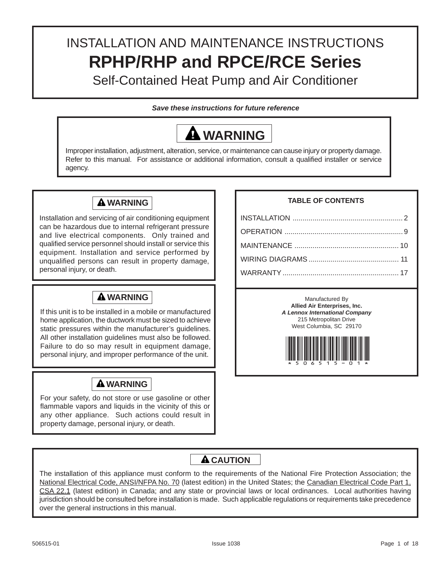# INSTALLATION AND MAINTENANCE INSTRUCTIONS **RPHP/RHP and RPCE/RCE Series**

Self-Contained Heat Pump and Air Conditioner

*Save these instructions for future reference*



Improper installation, adjustment, alteration, service, or maintenance can cause injury or property damage. Refer to this manual. For assistance or additional information, consult a qualified installer or service agency.



Installation and servicing of air conditioning equipment can be hazardous due to internal refrigerant pressure and live electrical components. Only trained and qualified service personnel should install or service this equipment. Installation and service performed by unqualified persons can result in property damage, personal injury, or death.

## **WARNING**

If this unit is to be installed in a mobile or manufactured home application, the ductwork must be sized to achieve static pressures within the manufacturer's guidelines. All other installation guidelines must also be followed. Failure to do so may result in equipment damage, personal injury, and improper performance of the unit.

## **WARNING**

For your safety, do not store or use gasoline or other flammable vapors and liquids in the vicinity of this or any other appliance. Such actions could result in property damage, personal injury, or death.

## **TABLE OF CONTENTS**

Manufactured By **Allied Air Enterprises, Inc.** *A Lennox International Company* 215 Metropolitan Drive West Columbia, SC 29170



## **A** CAUTION

The installation of this appliance must conform to the requirements of the National Fire Protection Association; the National Electrical Code, ANSI/NFPA No. 70 (latest edition) in the United States; the Canadian Electrical Code Part 1, CSA 22.1 (latest edition) in Canada; and any state or provincial laws or local ordinances. Local authorities having jurisdiction should be consulted before installation is made. Such applicable regulations or requirements take precedence over the general instructions in this manual.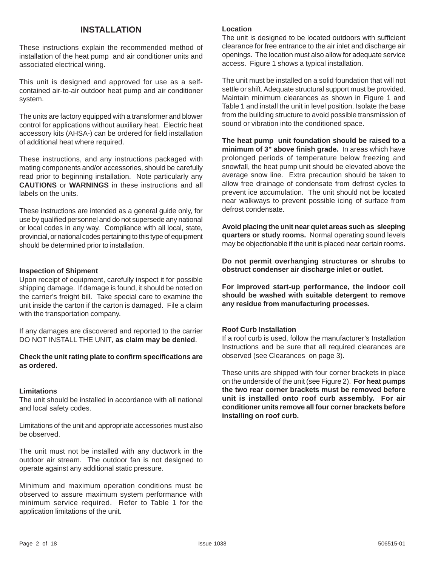## **INSTALLATION**

These instructions explain the recommended method of installation of the heat pump and air conditioner units and associated electrical wiring.

This unit is designed and approved for use as a selfcontained air-to-air outdoor heat pump and air conditioner system.

The units are factory equipped with a transformer and blower control for applications without auxiliary heat. Electric heat accessory kits (AHSA-) can be ordered for field installation of additional heat where required.

These instructions, and any instructions packaged with mating components and/or accessories, should be carefully read prior to beginning installation. Note particularly any **CAUTIONS** or **WARNINGS** in these instructions and all labels on the units.

These instructions are intended as a general guide only, for use by qualified personnel and do not supersede any national or local codes in any way. Compliance with all local, state, provincial, or national codes pertaining to this type of equipment should be determined prior to installation.

#### **Inspection of Shipment**

Upon receipt of equipment, carefully inspect it for possible shipping damage. If damage is found, it should be noted on the carrier's freight bill. Take special care to examine the unit inside the carton if the carton is damaged. File a claim with the transportation company.

If any damages are discovered and reported to the carrier DO NOT INSTALL THE UNIT, **as claim may be denied**.

**Check the unit rating plate to confirm specifications are as ordered.**

#### **Limitations**

The unit should be installed in accordance with all national and local safety codes.

Limitations of the unit and appropriate accessories must also be observed.

The unit must not be installed with any ductwork in the outdoor air stream. The outdoor fan is not designed to operate against any additional static pressure.

Minimum and maximum operation conditions must be observed to assure maximum system performance with minimum service required. Refer to Table 1 for the application limitations of the unit.

#### **Location**

The unit is designed to be located outdoors with sufficient clearance for free entrance to the air inlet and discharge air openings. The location must also allow for adequate service access. Figure 1 shows a typical installation.

The unit must be installed on a solid foundation that will not settle or shift. Adequate structural support must be provided. Maintain minimum clearances as shown in Figure 1 and Table 1 and install the unit in level position. Isolate the base from the building structure to avoid possible transmission of sound or vibration into the conditioned space.

**The heat pump unit foundation should be raised to a minimum of 3" above finish grade.** In areas which have prolonged periods of temperature below freezing and snowfall, the heat pump unit should be elevated above the average snow line. Extra precaution should be taken to allow free drainage of condensate from defrost cycles to prevent ice accumulation. The unit should not be located near walkways to prevent possible icing of surface from defrost condensate.

**Avoid placing the unit near quiet areas such as sleeping quarters or study rooms.** Normal operating sound levels may be objectionable if the unit is placed near certain rooms.

**Do not permit overhanging structures or shrubs to obstruct condenser air discharge inlet or outlet.**

**For improved start-up performance, the indoor coil should be washed with suitable detergent to remove any residue from manufacturing processes.**

#### **Roof Curb Installation**

If a roof curb is used, follow the manufacturer's Installation Instructions and be sure that all required clearances are observed (see Clearances on page 3).

These units are shipped with four corner brackets in place on the underside of the unit (see Figure 2). **For heat pumps the two rear corner brackets must be removed before unit is installed onto roof curb assembly. For air conditioner units remove all four corner brackets before installing on roof curb.**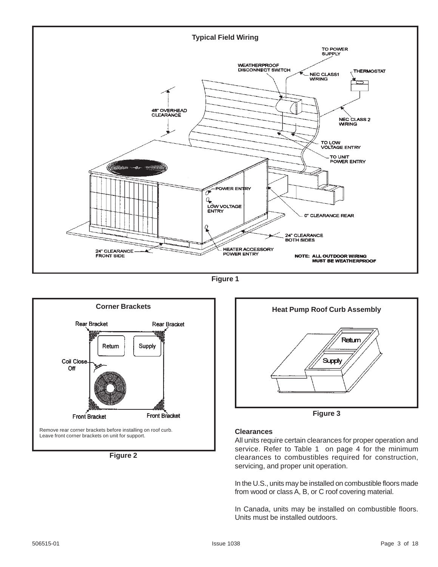

**Figure 1**



**Figure 2**



**Figure 3**

#### **Clearances**

All units require certain clearances for proper operation and service. Refer to Table 1 on page 4 for the minimum clearances to combustibles required for construction, servicing, and proper unit operation.

In the U.S., units may be installed on combustible floors made from wood or class A, B, or C roof covering material.

In Canada, units may be installed on combustible floors. Units must be installed outdoors.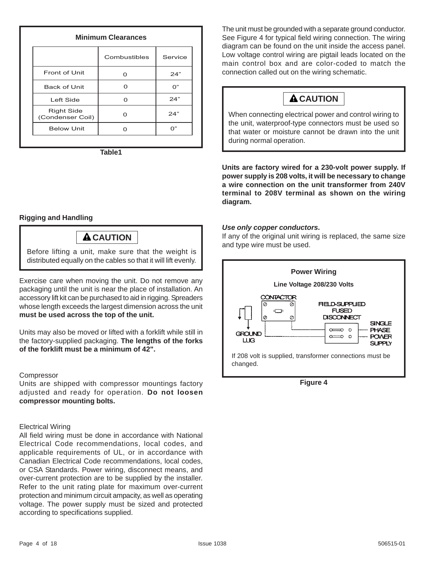| <b>Minimum Clearances</b>             |              |         |  |  |  |
|---------------------------------------|--------------|---------|--|--|--|
|                                       | Combustibles | Service |  |  |  |
| <b>Front of Unit</b>                  | O            | 24"     |  |  |  |
| <b>Back of Unit</b>                   | റ            | ባ"      |  |  |  |
| Left Side                             | ∩            | 24"     |  |  |  |
| <b>Right Side</b><br>(Condenser Coil) |              | 24"     |  |  |  |
| <b>Below Unit</b>                     |              | ባ"      |  |  |  |

**Table1**

#### The unit must be grounded with a separate ground conductor. See Figure 4 for typical field wiring connection. The wiring diagram can be found on the unit inside the access panel. Low voltage control wiring are pigtail leads located on the main control box and are color-coded to match the connection called out on the wiring schematic.

## **A** CAUTION

When connecting electrical power and control wiring to the unit, waterproof-type connectors must be used so that water or moisture cannot be drawn into the unit during normal operation.

**Units are factory wired for a 230-volt power supply. If power supply is 208 volts, it will be necessary to change a wire connection on the unit transformer from 240V terminal to 208V terminal as shown on the wiring diagram.**

## **Rigging and Handling**

## **A** CAUTION

Before lifting a unit, make sure that the weight is distributed equally on the cables so that it will lift evenly.

Exercise care when moving the unit. Do not remove any packaging until the unit is near the place of installation. An accessory lift kit can be purchased to aid in rigging. Spreaders whose length exceeds the largest dimension across the unit **must be used across the top of the unit.**

Units may also be moved or lifted with a forklift while still in the factory-supplied packaging. **The lengths of the forks of the forklift must be a minimum of 42".**

### Compressor

Units are shipped with compressor mountings factory adjusted and ready for operation. **Do not loosen compressor mounting bolts.**

#### Electrical Wiring

All field wiring must be done in accordance with National Electrical Code recommendations, local codes, and applicable requirements of UL, or in accordance with Canadian Electrical Code recommendations, local codes, or CSA Standards. Power wiring, disconnect means, and over-current protection are to be supplied by the installer. Refer to the unit rating plate for maximum over-current protection and minimum circuit ampacity, as well as operating voltage. The power supply must be sized and protected according to specifications supplied.

### *Use only copper conductors.*

If any of the original unit wiring is replaced, the same size and type wire must be used.



**Figure 4**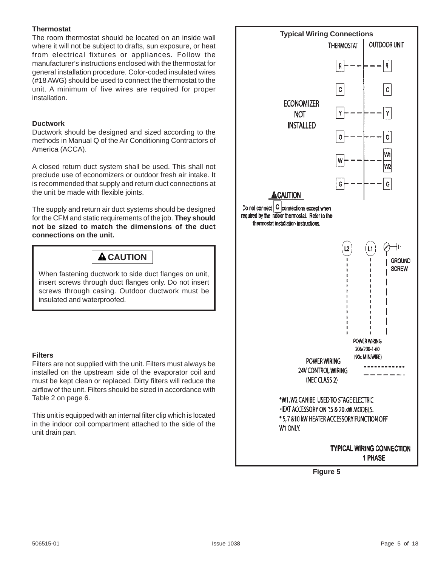### **Thermostat**

The room thermostat should be located on an inside wall where it will not be subject to drafts, sun exposure, or heat from electrical fixtures or appliances. Follow the manufacturer's instructions enclosed with the thermostat for general installation procedure. Color-coded insulated wires (#18 AWG) should be used to connect the thermostat to the unit. A minimum of five wires are required for proper installation.

### **Ductwork**

Ductwork should be designed and sized according to the methods in Manual Q of the Air Conditioning Contractors of America (ACCA).

A closed return duct system shall be used. This shall not preclude use of economizers or outdoor fresh air intake. It is recommended that supply and return duct connections at the unit be made with flexible joints.

The supply and return air duct systems should be designed for the CFM and static requirements of the job. **They should not be sized to match the dimensions of the duct connections on the unit.**

## **A** CAUTION

When fastening ductwork to side duct flanges on unit, insert screws through duct flanges only. Do not insert screws through casing. Outdoor ductwork must be insulated and waterproofed.

### **Filters**

Filters are not supplied with the unit. Filters must always be installed on the upstream side of the evaporator coil and must be kept clean or replaced. Dirty filters will reduce the airflow of the unit. Filters should be sized in accordance with Table 2 on page 6.

This unit is equipped with an internal filter clip which is located in the indoor coil compartment attached to the side of the unit drain pan.



**Figure 5**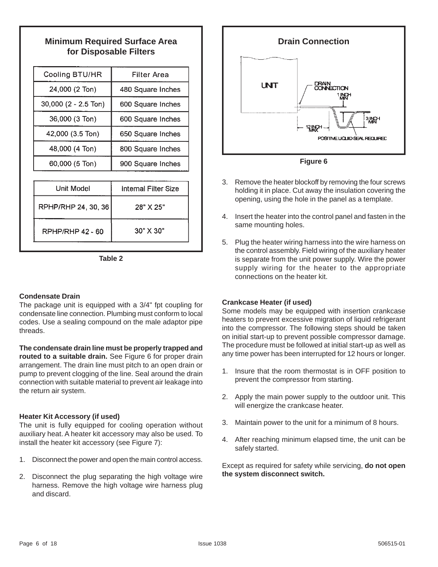## **Minimum Required Surface Area for Disposable Filters**

| Cooling BTU/HR          | Filter Area          |  |
|-------------------------|----------------------|--|
| 24,000 (2 Ton)          | 480 Square Inches    |  |
| 30,000 (2 - 2.5 Ton)    | 600 Square Inches    |  |
| 36,000 (3 Ton)          | 600 Square Inches    |  |
| 42,000 (3.5 Ton)        | 650 Square Inches    |  |
| 48,000 (4 Ton)          | 800 Square Inches    |  |
| 60,000 (5 Ton)          | 900 Square Inches    |  |
|                         |                      |  |
| Unit Model              | Internal Filter Size |  |
| RPHP/RHP 24, 30, 36     | 28" X 25"            |  |
| <b>RPHP/RHP 42 - 60</b> | $30"$ X $30"$        |  |

**Table 2**

#### **Condensate Drain**

The package unit is equipped with a 3/4" fpt coupling for condensate line connection. Plumbing must conform to local codes. Use a sealing compound on the male adaptor pipe threads.

**The condensate drain line must be properly trapped and routed to a suitable drain.** See Figure 6 for proper drain arrangement. The drain line must pitch to an open drain or pump to prevent clogging of the line. Seal around the drain connection with suitable material to prevent air leakage into the return air system.

#### **Heater Kit Accessory (if used)**

The unit is fully equipped for cooling operation without auxiliary heat. A heater kit accessory may also be used. To install the heater kit accessory (see Figure 7):

- 1. Disconnect the power and open the main control access.
- 2. Disconnect the plug separating the high voltage wire harness. Remove the high voltage wire harness plug and discard.



**Figure 6**

- 3. Remove the heater blockoff by removing the four screws holding it in place. Cut away the insulation covering the opening, using the hole in the panel as a template.
- 4. Insert the heater into the control panel and fasten in the same mounting holes.
- 5. Plug the heater wiring harness into the wire harness on the control assembly. Field wiring of the auxiliary heater is separate from the unit power supply. Wire the power supply wiring for the heater to the appropriate connections on the heater kit.

#### **Crankcase Heater (if used)**

Some models may be equipped with insertion crankcase heaters to prevent excessive migration of liquid refrigerant into the compressor. The following steps should be taken on initial start-up to prevent possible compressor damage. The procedure must be followed at initial start-up as well as any time power has been interrupted for 12 hours or longer.

- 1. Insure that the room thermostat is in OFF position to prevent the compressor from starting.
- 2. Apply the main power supply to the outdoor unit. This will energize the crankcase heater.
- 3. Maintain power to the unit for a minimum of 8 hours.
- 4. After reaching minimum elapsed time, the unit can be safely started.

Except as required for safety while servicing, **do not open the system disconnect switch.**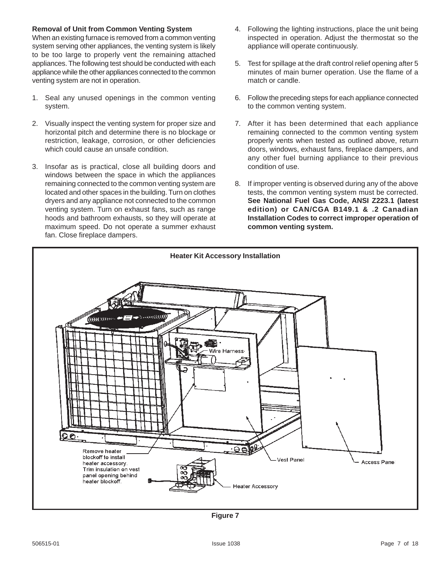### **Removal of Unit from Common Venting System**

When an existing furnace is removed from a common venting system serving other appliances, the venting system is likely to be too large to properly vent the remaining attached appliances. The following test should be conducted with each appliance while the other appliances connected to the common venting system are not in operation.

- 1. Seal any unused openings in the common venting system.
- 2. Visually inspect the venting system for proper size and horizontal pitch and determine there is no blockage or restriction, leakage, corrosion, or other deficiencies which could cause an unsafe condition.
- 3. Insofar as is practical, close all building doors and windows between the space in which the appliances remaining connected to the common venting system are located and other spaces in the building. Turn on clothes dryers and any appliance not connected to the common venting system. Turn on exhaust fans, such as range hoods and bathroom exhausts, so they will operate at maximum speed. Do not operate a summer exhaust fan. Close fireplace dampers.
- 4. Following the lighting instructions, place the unit being inspected in operation. Adjust the thermostat so the appliance will operate continuously.
- 5. Test for spillage at the draft control relief opening after 5 minutes of main burner operation. Use the flame of a match or candle.
- 6. Follow the preceding steps for each appliance connected to the common venting system.
- 7. After it has been determined that each appliance remaining connected to the common venting system properly vents when tested as outlined above, return doors, windows, exhaust fans, fireplace dampers, and any other fuel burning appliance to their previous condition of use.
- 8. If improper venting is observed during any of the above tests, the common venting system must be corrected. **See National Fuel Gas Code, ANSI Z223.1 (latest edition) or CAN/CGA B149.1 & .2 Canadian Installation Codes to correct improper operation of common venting system.**



**Figure 7**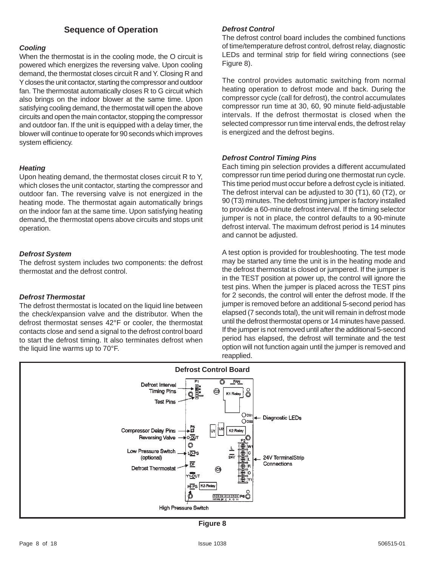## **Sequence of Operation**

#### *Cooling*

When the thermostat is in the cooling mode, the O circuit is powered which energizes the reversing valve. Upon cooling demand, the thermostat closes circuit R and Y. Closing R and Y closes the unit contactor, starting the compressor and outdoor fan. The thermostat automatically closes R to G circuit which also brings on the indoor blower at the same time. Upon satisfying cooling demand, the thermostat will open the above circuits and open the main contactor, stopping the compressor and outdoor fan. If the unit is equipped with a delay timer, the blower will continue to operate for 90 seconds which improves system efficiency.

#### *Heating*

Upon heating demand, the thermostat closes circuit R to Y, which closes the unit contactor, starting the compressor and outdoor fan. The reversing valve is not energized in the heating mode. The thermostat again automatically brings on the indoor fan at the same time. Upon satisfying heating demand, the thermostat opens above circuits and stops unit operation.

#### *Defrost System*

The defrost system includes two components: the defrost thermostat and the defrost control.

#### *Defrost Thermostat*

The defrost thermostat is located on the liquid line between the check/expansion valve and the distributor. When the defrost thermostat senses 42°F or cooler, the thermostat contacts close and send a signal to the defrost control board to start the defrost timing. It also terminates defrost when the liquid line warms up to 70°F.

#### *Defrost Control*

The defrost control board includes the combined functions of time/temperature defrost control, defrost relay, diagnostic LEDs and terminal strip for field wiring connections (see Figure 8).

The control provides automatic switching from normal heating operation to defrost mode and back. During the compressor cycle (call for defrost), the control accumulates compressor run time at 30, 60, 90 minute field-adjustable intervals. If the defrost thermostat is closed when the selected compressor run time interval ends, the defrost relay is energized and the defrost begins.

#### *Defrost Control Timing Pins*

Each timing pin selection provides a different accumulated compressor run time period during one thermostat run cycle. This time period must occur before a defrost cycle is initiated. The defrost interval can be adjusted to 30 (T1), 60 (T2), or 90 (T3) minutes. The defrost timing jumper is factory installed to provide a 60-minute defrost interval. If the timing selector jumper is not in place, the control defaults to a 90-minute defrost interval. The maximum defrost period is 14 minutes and cannot be adjusted.

A test option is provided for troubleshooting. The test mode may be started any time the unit is in the heating mode and the defrost thermostat is closed or jumpered. If the jumper is in the TEST position at power up, the control will ignore the test pins. When the jumper is placed across the TEST pins for 2 seconds, the control will enter the defrost mode. If the jumper is removed before an additional 5-second period has elapsed (7 seconds total), the unit will remain in defrost mode until the defrost thermostat opens or 14 minutes have passed. If the jumper is not removed until after the additional 5-second period has elapsed, the defrost will terminate and the test option will not function again until the jumper is removed and reapplied.



**Figure 8**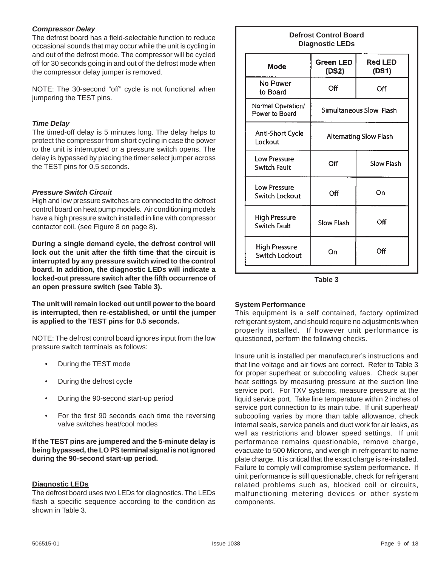#### *Compressor Delay*

The defrost board has a field-selectable function to reduce occasional sounds that may occur while the unit is cycling in and out of the defrost mode. The compressor will be cycled off for 30 seconds going in and out of the defrost mode when the compressor delay jumper is removed.

NOTE: The 30-second "off" cycle is not functional when jumpering the TEST pins.

#### *Time Delay*

The timed-off delay is 5 minutes long. The delay helps to protect the compressor from short cycling in case the power to the unit is interrupted or a pressure switch opens. The delay is bypassed by placing the timer select jumper across the TEST pins for 0.5 seconds.

#### *Pressure Switch Circuit*

High and low pressure switches are connected to the defrost control board on heat pump models. Air conditioning models have a high pressure switch installed in line with compressor contactor coil. (see Figure 8 on page 8).

**During a single demand cycle, the defrost control will lock out the unit after the fifth time that the circuit is interrupted by any pressure switch wired to the control board. In addition, the diagnostic LEDs will indicate a locked-out pressure switch after the fifth occurrence of an open pressure switch (see Table 3).**

**The unit will remain locked out until power to the board is interrupted, then re-established, or until the jumper is applied to the TEST pins for 0.5 seconds.**

NOTE: The defrost control board ignores input from the low pressure switch terminals as follows:

- During the TEST mode
- During the defrost cycle
- During the 90-second start-up period
- For the first 90 seconds each time the reversing valve switches heat/cool modes

**If the TEST pins are jumpered and the 5-minute delay is being bypassed, the LO PS terminal signal is not ignored during the 90-second start-up period.**

#### **Diagnostic LEDs**

The defrost board uses two LEDs for diagnostics. The LEDs flash a specific sequence according to the condition as shown in Table 3.

| <b>Diagnostic LEDs</b>                      |                                                          |                         |  |
|---------------------------------------------|----------------------------------------------------------|-------------------------|--|
| Mode                                        | <b>Green LED</b><br>(DS2)                                | <b>Red LED</b><br>(DS1) |  |
| No Power<br>to Board                        | Off                                                      | Off                     |  |
| Normal Operation/<br>Power to Board         | Simultaneous Slow Flash<br><b>Alternating Slow Flash</b> |                         |  |
| <b>Anti-Short Cycle</b><br>Lockout          |                                                          |                         |  |
| <b>Low Pressure</b><br>Switch Fault         | Off                                                      | Slow Flash              |  |
| Low Pressure<br>Switch Lockout              | Оff                                                      | On                      |  |
| <b>High Pressure</b><br><b>Switch Fault</b> | <b>Slow Flash</b>                                        | Off                     |  |
| High Pressure<br>Switch Lockout             | On                                                       | Off                     |  |

**Defrost Control Board**

**Table 3**

### **System Performance**

This equipment is a self contained, factory optimized refrigerant system, and should require no adjustments when properly installed. If however unit performance is quiestioned, perform the following checks.

Insure unit is installed per manufacturer's instructions and that line voltage and air flows are correct. Refer to Table 3 for proper superheat or subcooling values. Check super heat settings by measuring pressure at the suction line service port. For TXV systems, measure pressure at the liquid service port. Take line temperature within 2 inches of service port connection to its main tube. If unit superheat/ subcooling varies by more than table allowance, check internal seals, service panels and duct work for air leaks, as well as restrictions and blower speed settings. If unit performance remains questionable, remove charge, evacuate to 500 Microns, and werigh in refrigerant to name plate charge. It is critical that the exact charge is re-installed. Failure to comply will compromise system performance. If uinit performance is still questionable, check for refrigerant related problems such as, blocked coil or circuits, malfunctioning metering devices or other system components.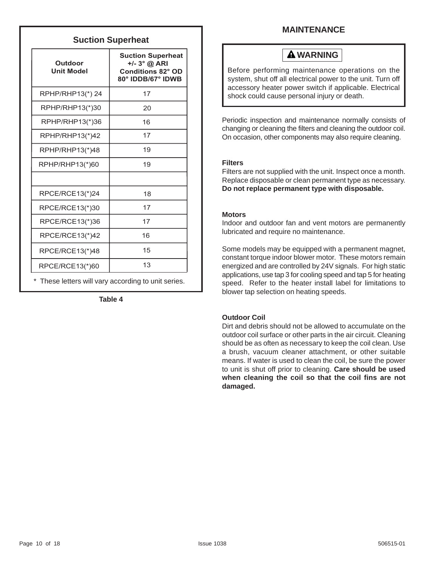## **Suction Superheat**

| Outdoor<br><b>Unit Model</b> | <b>Suction Superheat</b><br>$+/- 3°$ @ ARI<br><b>Conditions 82° OD</b><br>80° IDDB/67° IDWB |
|------------------------------|---------------------------------------------------------------------------------------------|
| RPHP/RHP13(*) 24             | 17                                                                                          |
| RPHP/RHP13(*)30              | 20                                                                                          |
| RPHP/RHP13(*)36              | 16                                                                                          |
| RPHP/RHP13(*)42              | 17                                                                                          |
| RPHP/RHP13(*)48              | 19                                                                                          |
| RPHP/RHP13(*)60              | 19                                                                                          |
|                              |                                                                                             |
| RPCE/RCE13(*)24              | 18                                                                                          |
| RPCE/RCE13(*)30              | 17                                                                                          |
| RPCE/RCE13(*)36              | 17                                                                                          |
| RPCE/RCE13(*)42              | 16                                                                                          |
| RPCE/RCE13(*)48              | 15                                                                                          |
| RPCE/RCE13(*)60              | 13                                                                                          |

**Table 4**

## **MAINTENANCE**

## **WARNING**

Before performing maintenance operations on the system, shut off all electrical power to the unit. Turn off accessory heater power switch if applicable. Electrical shock could cause personal injury or death.

Periodic inspection and maintenance normally consists of changing or cleaning the filters and cleaning the outdoor coil. On occasion, other components may also require cleaning.

### **Filters**

Filters are not supplied with the unit. Inspect once a month. Replace disposable or clean permanent type as necessary. **Do not replace permanent type with disposable.**

### **Motors**

Indoor and outdoor fan and vent motors are permanently lubricated and require no maintenance.

Some models may be equipped with a permanent magnet, constant torque indoor blower motor. These motors remain energized and are controlled by 24V signals. For high static applications, use tap 3 for cooling speed and tap 5 for heating speed. Refer to the heater install label for limitations to blower tap selection on heating speeds.

### **Outdoor Coil**

Dirt and debris should not be allowed to accumulate on the outdoor coil surface or other parts in the air circuit. Cleaning should be as often as necessary to keep the coil clean. Use a brush, vacuum cleaner attachment, or other suitable means. If water is used to clean the coil, be sure the power to unit is shut off prior to cleaning. **Care should be used when cleaning the coil so that the coil fins are not damaged.**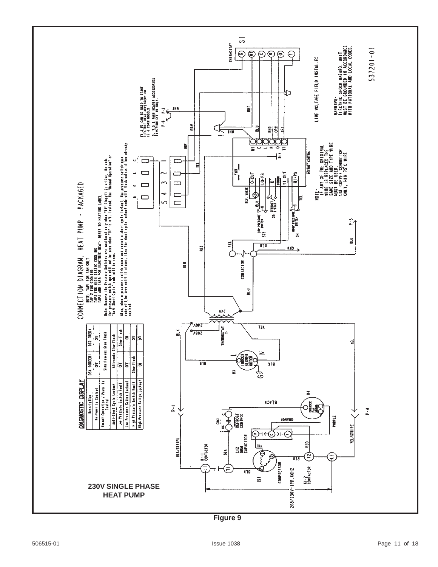

**Figure 9**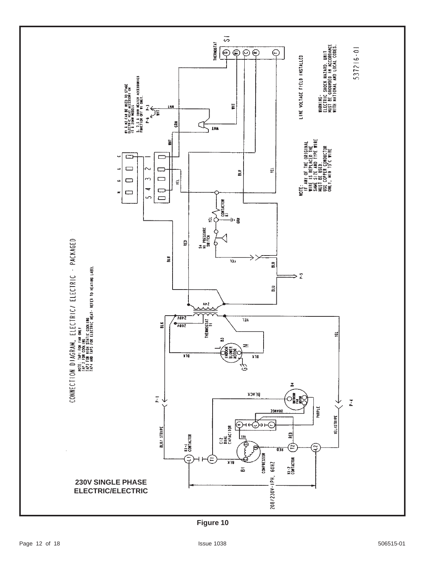

**Figure 10**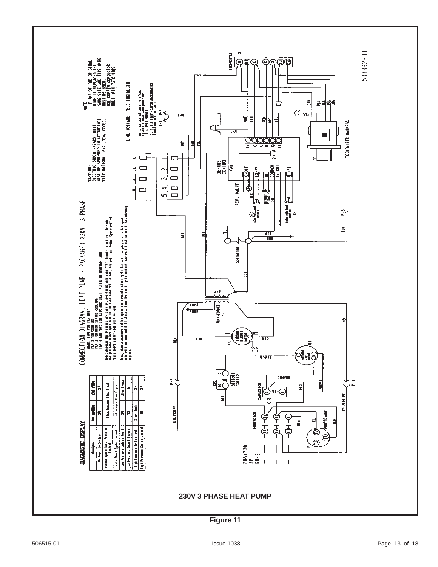

**Figure 11**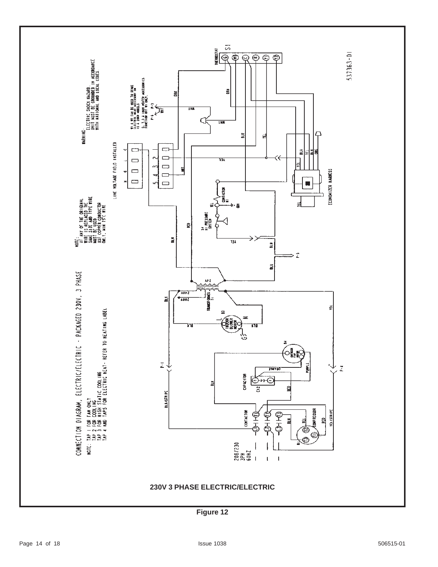

**Figure 12**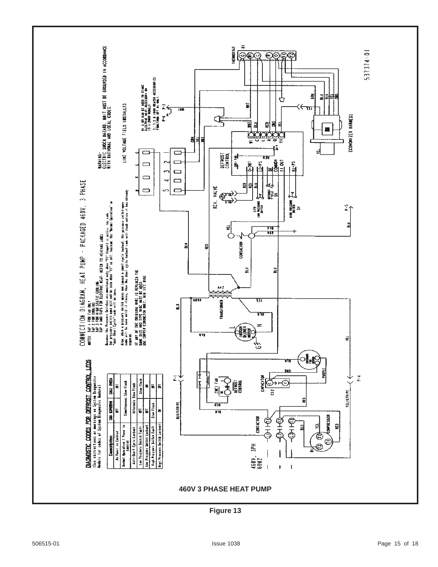

**Figure 13**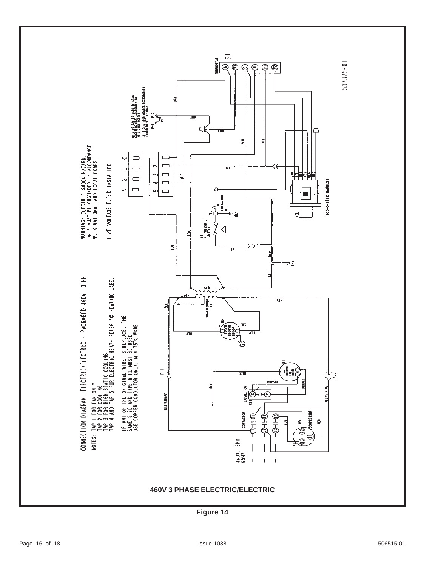

**Figure 14**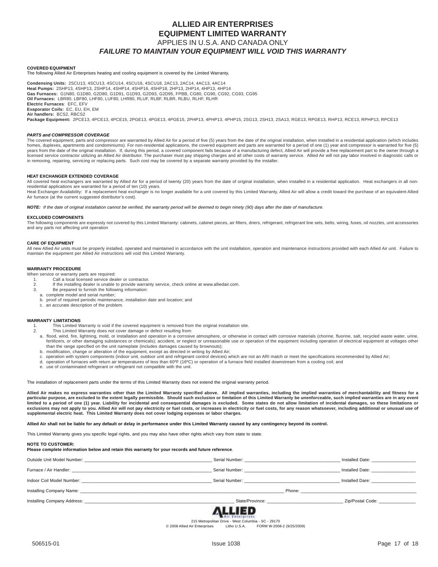### **ALLIED AIR ENTERPRISES EQUIPMENT LIMITED WARRANTY** APPLIES IN U.S.A. AND CANADA ONLY *FAILURE TO MAINTAIN YOUR EQUIPMENT WILL VOID THIS WARRANTY*

**COVERED EQUIPMENT**

The following Allied Air Enterprises heating and cooling equipment is covered by the Limited Warranty,

**Condensing Units:** 2SCU13, 4SCU13, 4SCU14, 4SCU16, 4SCU18, 2AC13, 2AC14, 4AC13, 4AC14 **Heat Pumps:** 2SHP13, 4SHP13, 2SHP14, 4SHP14, 4SHP16, 4SHP18, 2HP13, 2HP14, 4HP13, 4HP14 **Gas Furnaces:** G1N80, G1D80, G2D80, G1D91, G1D93, G2D93, G2D95, FPBB, CG80, CG90, CG92, CG93, CG95 **Oil Furnaces:** LBR80, LBF80, LHF80, LUF80, LHR80, RLUF, RLBF, RLBR, RLBU, RLHF, RLHR **Electric Furnaces**: EFC, EFV **Evaporator Coils:** EC, EU, EH, EM **Air handlers:** BCS2, RBCS2

**Package Equipment:** 2PCE13, 4PCE13, 4PCE15, 2PGE13, 4PGE13, 4PGE15, 2PHP13, 4PHP13, 4PHP15, 2SG13, 2SH13, 2SA13, RGE13, RPGE13, RHP13, RCE13, RPHP13, RPCE13

#### *PARTS and COMPRESSOR COVERAGE*

The covered equipment, parts and compressor are warranted by Allied Air for a period of five (5) years from the date of the original installation, when installed in a residential application (which includes homes, duplexes, apartments and condominiums). For non-residential applications, the covered equipment and parts are warranted for a period of one (1) year and compressor is warranted for five (5) years from the date of the original installation. If, during this period, a covered component fails because of a manufacturing defect, Allied Air will provide a free replacement part to the owner through a licensed service contractor utilizing an Allied Air distributor. The purchaser must pay shipping charges and all other costs of warranty service. Allied Air will not pay labor involved in diagnostic calls or<br>in removing, r

#### **HEAT EXCHANGER EXTENDED COVERAGE**

All covered heat exchangers are warranted by Allied Air for a period of twenty (20) years from the date of original installation, when installed in a residential application. Heat exchangers in all nonresidential applications are warranted for a period of ten (10) years.

Heat Exchanger Availability: If a replacement heat exchanger is no longer available for a unit covered by this Limited Warranty. Allied Air will allow a credit toward the purchase of an equivalent Allied Air furnace (at the current suggested distributor's cost).

*NOTE: If the date of original installation cannot be verified, the warranty period will be deemed to begin ninety (90) days after the date of manufacture.*

#### **EXCLUDED COMPONENTS**

The following components are expressly not covered by this Limited Warranty: cabinets, cabinet pieces, air filters, driers, refrigerant, refrigerant line sets, belts, wiring, fuses, oil nozzles, unit accessories and any parts not affecting unit operation

#### **CARE OF EQUIPMENT**

All new Allied Air units must be properly installed, operated and maintained in accordance with the unit installation, operation and maintenance instructions provided with each Allied Air unit. Failure to maintain the equipment per Allied Air instructions will void this Limited Warranty.

#### **WARRANTY PROCEDURE**

When service or warranty parts are required:

- Call a local licensed service dealer or contractor.
- 2. If the installing dealer is unable to provide warranty service, check online at www.alliedair.com. 3. Be prepared to furnish the following information:
- 
- a. complete model and serial number;
- b. proof of required periodic maintenance, installation date and location; and
- c. an accurate description of the problem.

#### **WARRANTY LIMITATIONS**

- This Limited Warranty is void if the covered equipment is removed from the original installation site.
- 2. This Limited Warranty does not cover damage or defect resulting from:
- a. flood, wind, fire, lightning, mold, or installation and operation in a corrosive atmosphere, or otherwise in contact with corrosive materials (chorine, fluorine, salt, recycled waste water, urine, fertilizers, or other damaging substances or chemicals); accident, or neglect or unreasonable use or operation of the equipment including operation of electrical equipment at voltages other than the range specified on the unit nameplate (includes damages caused by brownouts);
- b. modification, change or alteration of the equipment, except as directed in writing by Allied Air;
- c. operation with system components (indoor unit, outdoor unit and refrigerant control devices) which are not an ARI match or meet the specifications recommended by Allied Air;
- d. operation of furnaces with return air temperatures of less than 60ºF (16ºC) or operation of a furnace field installed downstream from a cooling coil; and e. use of contaminated refrigerant or refrigerant not compatible with the unit.
- 

The installation of replacement parts under the terms of this Limited Warranty does not extend the original warranty period.

**Allied Air makes no express warranties other than the Limited Warranty specified above. All implied warranties, including the implied warranties of merchantability and fitness for a particular purpose, are excluded to the extent legally permissible. Should such exclusion or limitation of this Limited Warranty be unenforceable, such implied warranties are in any event limited to a period of one (1) year. Liability for incidental and consequential damages is excluded. Some states do not allow limitation of incidental damages, so these limitations or** exclusions may not apply to you. Allied Air will not pay electricity or fuel costs, or increases in electricity or fuel costs, for any reason whatsoever, including additional or unusual use of **supplemental electric heat. This Limited Warranty does not cover lodging expenses or labor charges.**

#### **Allied Air shall not be liable for any default or delay in performance under this Limited Warranty caused by any contingency beyond its control.**

This Limited Warranty gives you specific legal rights, and you may also have other rights which vary from state to state.

#### **NOTE TO CUSTOMER:**

**Please complete information below and retain this warranty for your records and future reference**.

|                             | Serial Number: Website and Serial Number:                                                                                                                                                                                     | Installed Date:                                                                                                |
|-----------------------------|-------------------------------------------------------------------------------------------------------------------------------------------------------------------------------------------------------------------------------|----------------------------------------------------------------------------------------------------------------|
|                             | Serial Number: Website and Serial Number:                                                                                                                                                                                     | Installed Date: The Contract of the Contract of the Contract of the Contract of the Contract of the Contract o |
| Indoor Coil Model Number: _ | Serial Number: The Communication of the Communication of the Communication of the Communication of the Communication of the Communication of the Communication of the Communication of the Communication of the Communication | Installed Dare:                                                                                                |
| Installing Company Name: _  | Phone:                                                                                                                                                                                                                        |                                                                                                                |
|                             | State/Province:                                                                                                                                                                                                               | Zip/Postal Code:                                                                                               |
|                             | _______                                                                                                                                                                                                                       |                                                                                                                |



215 Metropolitan Drive - West Columbia - SC - 29170<br>Air Enterprises Litho U.S.A. FORM W-2008-2 (9/25/2009) © 2008 Allied Air Enterprises Litho U.S.A. FORM W-2008-2 (9/25/2009)